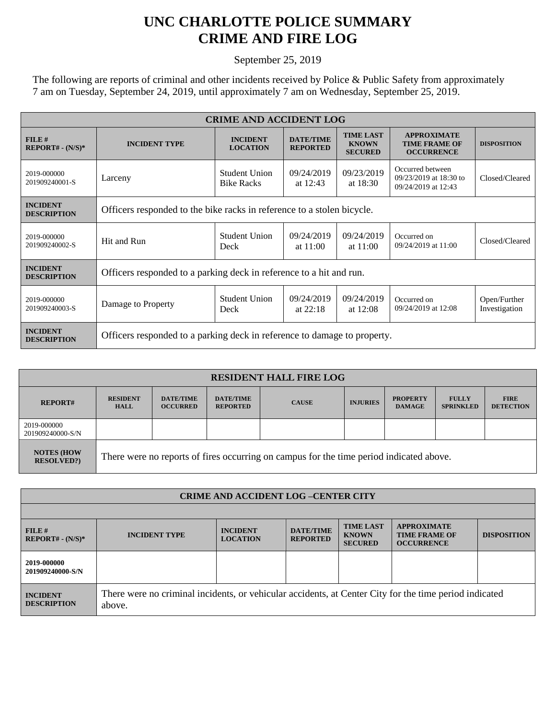## **UNC CHARLOTTE POLICE SUMMARY CRIME AND FIRE LOG**

September 25, 2019

The following are reports of criminal and other incidents received by Police & Public Safety from approximately 7 am on Tuesday, September 24, 2019, until approximately 7 am on Wednesday, September 25, 2019.

| <b>CRIME AND ACCIDENT LOG</b>         |                                                                          |                                    |                                     |                                                    |                                                                   |                               |  |  |
|---------------------------------------|--------------------------------------------------------------------------|------------------------------------|-------------------------------------|----------------------------------------------------|-------------------------------------------------------------------|-------------------------------|--|--|
| FILE#<br>$REPORT# - (N/S)*$           | <b>INCIDENT TYPE</b>                                                     | <b>INCIDENT</b><br><b>LOCATION</b> | <b>DATE/TIME</b><br><b>REPORTED</b> | <b>TIME LAST</b><br><b>KNOWN</b><br><b>SECURED</b> | <b>APPROXIMATE</b><br><b>TIME FRAME OF</b><br><b>OCCURRENCE</b>   | <b>DISPOSITION</b>            |  |  |
| 2019-000000<br>201909240001-S         | Larceny                                                                  | Student Union<br><b>Bike Racks</b> | 09/24/2019<br>at $12:43$            | 09/23/2019<br>at 18:30                             | Occurred between<br>09/23/2019 at 18:30 to<br>09/24/2019 at 12:43 | Closed/Cleared                |  |  |
| <b>INCIDENT</b><br><b>DESCRIPTION</b> | Officers responded to the bike racks in reference to a stolen bicycle.   |                                    |                                     |                                                    |                                                                   |                               |  |  |
| 2019-000000<br>201909240002-S         | Hit and Run                                                              | Student Union<br>Deck              | 09/24/2019<br>at $11:00$            | 09/24/2019<br>at $11:00$                           | Occurred on<br>09/24/2019 at 11:00                                | Closed/Cleared                |  |  |
| <b>INCIDENT</b><br><b>DESCRIPTION</b> | Officers responded to a parking deck in reference to a hit and run.      |                                    |                                     |                                                    |                                                                   |                               |  |  |
| 2019-000000<br>201909240003-S         | Damage to Property                                                       | <b>Student Union</b><br>Deck       | 09/24/2019<br>at $22:18$            | 09/24/2019<br>at $12:08$                           | Occurred on<br>09/24/2019 at 12:08                                | Open/Further<br>Investigation |  |  |
| <b>INCIDENT</b><br><b>DESCRIPTION</b> | Officers responded to a parking deck in reference to damage to property. |                                    |                                     |                                                    |                                                                   |                               |  |  |

| <b>RESIDENT HALL FIRE LOG</b>          |                                                                                         |                                     |                                     |              |                 |                                  |                                  |                                 |
|----------------------------------------|-----------------------------------------------------------------------------------------|-------------------------------------|-------------------------------------|--------------|-----------------|----------------------------------|----------------------------------|---------------------------------|
| <b>REPORT#</b>                         | <b>RESIDENT</b><br><b>HALL</b>                                                          | <b>DATE/TIME</b><br><b>OCCURRED</b> | <b>DATE/TIME</b><br><b>REPORTED</b> | <b>CAUSE</b> | <b>INJURIES</b> | <b>PROPERTY</b><br><b>DAMAGE</b> | <b>FULLY</b><br><b>SPRINKLED</b> | <b>FIRE</b><br><b>DETECTION</b> |
| 2019-000000<br>201909240000-S/N        |                                                                                         |                                     |                                     |              |                 |                                  |                                  |                                 |
| <b>NOTES (HOW</b><br><b>RESOLVED?)</b> | There were no reports of fires occurring on campus for the time period indicated above. |                                     |                                     |              |                 |                                  |                                  |                                 |

| <b>CRIME AND ACCIDENT LOG-CENTER CITY</b> |                                                                                                                  |                                    |                                     |                                                    |                                                                 |                    |  |
|-------------------------------------------|------------------------------------------------------------------------------------------------------------------|------------------------------------|-------------------------------------|----------------------------------------------------|-----------------------------------------------------------------|--------------------|--|
|                                           |                                                                                                                  |                                    |                                     |                                                    |                                                                 |                    |  |
| FILE#<br>$REPORT# - (N/S)*$               | <b>INCIDENT TYPE</b>                                                                                             | <b>INCIDENT</b><br><b>LOCATION</b> | <b>DATE/TIME</b><br><b>REPORTED</b> | <b>TIME LAST</b><br><b>KNOWN</b><br><b>SECURED</b> | <b>APPROXIMATE</b><br><b>TIME FRAME OF</b><br><b>OCCURRENCE</b> | <b>DISPOSITION</b> |  |
| 2019-000000<br>201909240000-S/N           |                                                                                                                  |                                    |                                     |                                                    |                                                                 |                    |  |
| <b>INCIDENT</b><br><b>DESCRIPTION</b>     | There were no criminal incidents, or vehicular accidents, at Center City for the time period indicated<br>above. |                                    |                                     |                                                    |                                                                 |                    |  |